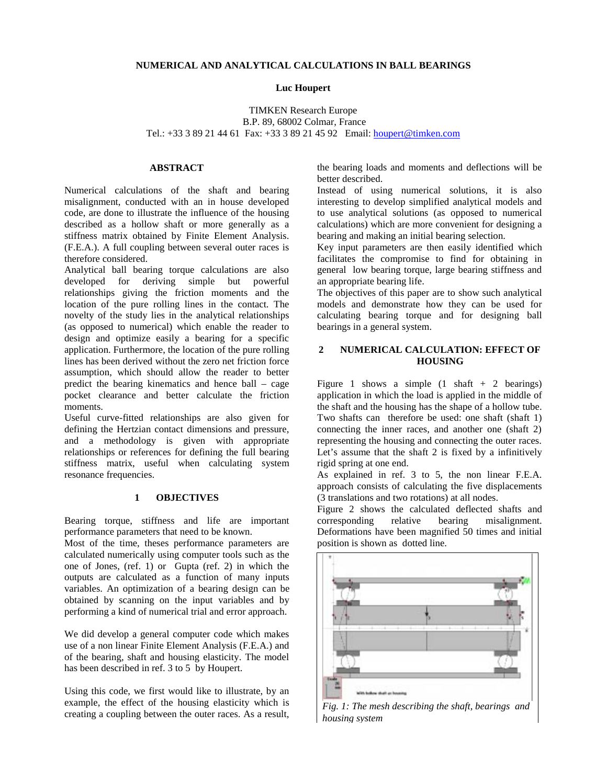## **NUMERICAL AND ANALYTICAL CALCULATIONS IN BALL BEARINGS**

#### **Luc Houpert**

# TIMKEN Research Europe B.P. 89, 68002 Colmar, France Tel.: +33 3 89 21 44 61 Fax: +33 3 89 21 45 92 Email: houpert@timken.com

#### **ABSTRACT**

Numerical calculations of the shaft and bearing misalignment, conducted with an in house developed code, are done to illustrate the influence of the housing described as a hollow shaft or more generally as a stiffness matrix obtained by Finite Element Analysis. (F.E.A.). A full coupling between several outer races is therefore considered.

Analytical ball bearing torque calculations are also developed for deriving simple but powerful relationships giving the friction moments and the location of the pure rolling lines in the contact. The novelty of the study lies in the analytical relationships (as opposed to numerical) which enable the reader to design and optimize easily a bearing for a specific application. Furthermore, the location of the pure rolling lines has been derived without the zero net friction force assumption, which should allow the reader to better predict the bearing kinematics and hence ball – cage pocket clearance and better calculate the friction moments.

Useful curve-fitted relationships are also given for defining the Hertzian contact dimensions and pressure, and a methodology is given with appropriate relationships or references for defining the full bearing stiffness matrix, useful when calculating system resonance frequencies.

### **1 OBJECTIVES**

Bearing torque, stiffness and life are important performance parameters that need to be known.

Most of the time, theses performance parameters are calculated numerically using computer tools such as the one of Jones, (ref. 1) or Gupta (ref. 2) in which the outputs are calculated as a function of many inputs variables. An optimization of a bearing design can be obtained by scanning on the input variables and by performing a kind of numerical trial and error approach.

We did develop a general computer code which makes use of a non linear Finite Element Analysis (F.E.A.) and of the bearing, shaft and housing elasticity. The model has been described in ref. 3 to 5 by Houpert.

Using this code, we first would like to illustrate, by an example, the effect of the housing elasticity which is creating a coupling between the outer races. As a result,

the bearing loads and moments and deflections will be better described.

Instead of using numerical solutions, it is also interesting to develop simplified analytical models and to use analytical solutions (as opposed to numerical calculations) which are more convenient for designing a bearing and making an initial bearing selection.

Key input parameters are then easily identified which facilitates the compromise to find for obtaining in general low bearing torque, large bearing stiffness and an appropriate bearing life.

The objectives of this paper are to show such analytical models and demonstrate how they can be used for calculating bearing torque and for designing ball bearings in a general system.

## **2 NUMERICAL CALCULATION: EFFECT OF HOUSING**

Figure 1 shows a simple  $(1 \text{ shaft} + 2 \text{ bearings})$ application in which the load is applied in the middle of the shaft and the housing has the shape of a hollow tube. Two shafts can therefore be used: one shaft (shaft 1) connecting the inner races, and another one (shaft 2) representing the housing and connecting the outer races. Let's assume that the shaft 2 is fixed by a infinitively rigid spring at one end.

As explained in ref. 3 to 5, the non linear F.E.A. approach consists of calculating the five displacements (3 translations and two rotations) at all nodes.

Figure 2 shows the calculated deflected shafts and corresponding relative bearing misalignment. Deformations have been magnified 50 times and initial position is shown as dotted line.



*Fig. 1: The mesh describing the shaft, bearings and housing system*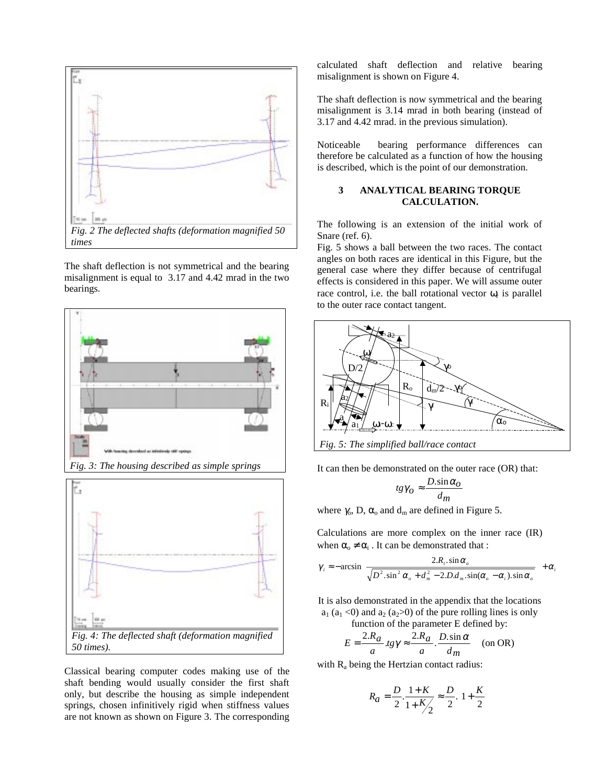

The shaft deflection is not symmetrical and the bearing misalignment is equal to 3.17 and 4.42 mrad in the two bearings.



Classical bearing computer codes making use of the shaft bending would usually consider the first shaft only, but describe the housing as simple independent springs, chosen infinitively rigid when stiffness values are not known as shown on Figure 3. The corresponding

calculated shaft deflection and relative bearing misalignment is shown on Figure 4.

The shaft deflection is now symmetrical and the bearing misalignment is 3.14 mrad in both bearing (instead of 3.17 and 4.42 mrad. in the previous simulation).

Noticeable bearing performance differences can therefore be calculated as a function of how the housing is described, which is the point of our demonstration.

## **3 ANALYTICAL BEARING TORQUE CALCULATION.**

The following is an extension of the initial work of Snare (ref. 6).

Fig. 5 shows a ball between the two races. The contact angles on both races are identical in this Figure, but the general case where they differ because of centrifugal effects is considered in this paper. We will assume outer race control, i.e. the ball rotational vector  $\omega_t$  is parallel to the outer race contact tangent.



*Fig. 5: The simplified ball/race contact*

It can then be demonstrated on the outer race (OR) that:

$$
tg\gamma_O \approx \frac{D.\sin\alpha_O}{d_m}
$$

where  $\gamma_o$ , D,  $\alpha_o$  and  $d_m$  are defined in Figure 5.

Calculations are more complex on the inner race (IR) when  $\alpha_{0} \neq \alpha_{i}$ . It can be demonstrated that :

$$
\gamma_i \approx -\arcsin\left\{\frac{2.R_i.\sin\alpha_o}{\sqrt{D^2.\sin^2\alpha_o + d_m^2 - 2.D.d_m.\sin(\alpha_o - \alpha_i).\sin\alpha_o}}\right\} + \alpha
$$

*i*

It is also demonstrated in the appendix that the locations  $a_1$  ( $a_1$  <0) and  $a_2$  ( $a_2$ >0) of the pure rolling lines is only function of the parameter E defined by:

$$
E = \frac{2.R_a}{a} \cdot \lg \gamma \approx \frac{2.R_a}{a} \cdot \frac{D \cdot \sin \alpha}{d_m} \quad \text{(on OR)}
$$

with  $R_a$  being the Hertzian contact radius:

$$
R_a = \frac{D}{2} \cdot \frac{1+K}{1+K/2} \approx \frac{D}{2} \left( 1 + \frac{K}{2} \right)
$$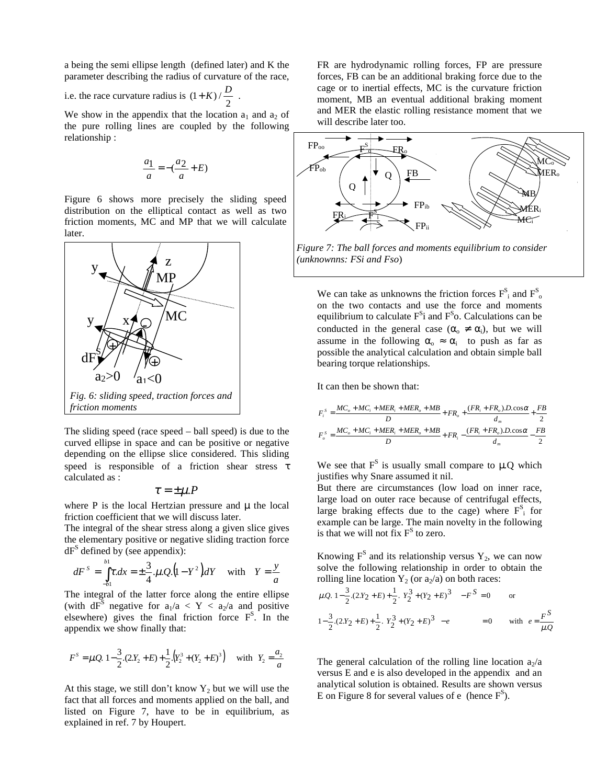a being the semi ellipse length (defined later) and K the parameter describing the radius of curvature of the race,

i.e. the race curvature radius is  $(1 + K) / \frac{D}{2}$ .

We show in the appendix that the location  $a_1$  and  $a_2$  of the pure rolling lines are coupled by the following relationship :

$$
\frac{a_1}{a} = -(\frac{a_2}{a} + E)
$$

Figure 6 shows more precisely the sliding speed distribution on the elliptical contact as well as two friction moments, MC and MP that we will calculate later.



The sliding speed (race speed – ball speed) is due to the curved ellipse in space and can be positive or negative depending on the ellipse slice considered. This sliding speed is responsible of a friction shear stress τ calculated as :

$$
\tau = \pm \mu.P
$$

where  $P$  is the local Hertzian pressure and  $\mu$  the local friction coefficient that we will discuss later.

The integral of the shear stress along a given slice gives the elementary positive or negative sliding traction force  $dF<sup>S</sup>$  defined by (see appendix):

$$
dF^{S} = \int_{-b1}^{b1} \tau \, dx = \pm \frac{3}{4} \cdot \mu \cdot Q \cdot (1 - Y^{2}) dY \quad \text{with} \quad Y = \frac{y}{a}
$$

The integral of the latter force along the entire ellipse (with  $dF^S$  negative for  $a_1/a < Y < a_2/a$  and positive elsewhere) gives the final friction force  $F<sup>S</sup>$ . In the appendix we show finally that:

$$
F^{S} = \mu Q \left[ 1 - \frac{3}{2} \cdot (2 \cdot Y_{2} + E) + \frac{1}{2} \cdot (Y_{2}^{3} + (Y_{2} + E)^{3}) \right] \text{ with } Y_{2} = \frac{a_{2}}{a}
$$

At this stage, we still don't know  $Y_2$  but we will use the fact that all forces and moments applied on the ball, and listed on Figure 7, have to be in equilibrium, as explained in ref. 7 by Houpert.

FR are hydrodynamic rolling forces, FP are pressure forces, FB can be an additional braking force due to the cage or to inertial effects, MC is the curvature friction moment, MB an eventual additional braking moment and MER the elastic rolling resistance moment that we will describe later too.



*Figure 7: The ball forces and moments equilibrium to consider (unknownns: FSi and Fso*)

We can take as unknowns the friction forces  $F_s^s$  and  $F_s^s$ on the two contacts and use the force and moments equilibrium to calculate  $F^S$ i and  $F^S$ o. Calculations can be conducted in the general case  $(\alpha_0 \neq \alpha_i)$ , but we will assume in the following  $\alpha_0 \approx \alpha_i$  to push as far as possible the analytical calculation and obtain simple ball bearing torque relationships.

It can then be shown that:

$$
F_i^s = \frac{MC_o + MC_i + MER_i + MER_o + MB}{D} + FR_o + \frac{(FR_i + FR_o) \cdot D \cdot \cos\alpha}{d_m} + \frac{FB}{2}
$$

$$
F_o^s = \frac{MC_o + MC_i + MER_i + MER_o + MB}{D} + FR_i - \frac{(FR_i + FR_o) \cdot D \cdot \cos\alpha}{d_m} - \frac{FB}{2}
$$

We see that  $F<sup>S</sup>$  is usually small compare to  $\mu$ .Q which justifies why Snare assumed it nil.

But there are circumstances (low load on inner race, large load on outer race because of centrifugal effects, large braking effects due to the cage) where  $F_i^S$  for example can be large. The main novelty in the following is that we will not fix  $F<sup>S</sup>$  to zero.

Knowing  $F^S$  and its relationship versus  $Y_2$ , we can now solve the following relationship in order to obtain the rolling line location  $Y_2$  (or  $a_2/a$ ) on both races:

$$
\mu \cdot Q \left[ 1 - \frac{3}{2} \cdot (2 \cdot Y_2 + E) + \frac{1}{2} \left( Y_2^3 + (Y_2 + E)^3 \right) \right] - F^S = 0 \quad \text{or}
$$
  

$$
1 - \frac{3}{2} \cdot (2 \cdot Y_2 + E) + \frac{1}{2} \left( Y_2^3 + (Y_2 + E)^3 \right) - e = 0 \quad \text{with} \quad e = \frac{F^S}{\mu \cdot Q}
$$

The general calculation of the rolling line location  $a_2/a$ versus E and e is also developed in the appendix and an analytical solution is obtained. Results are shown versus E on Figure 8 for several values of e (hence  $F^S$ ).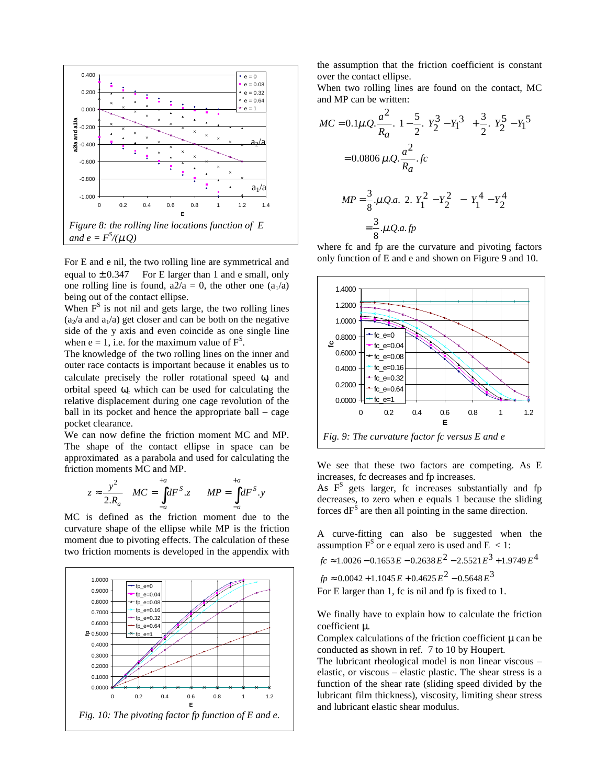

For E and e nil, the two rolling line are symmetrical and equal to  $\pm 0.347$  For E larger than 1 and e small, only one rolling line is found,  $a2/a = 0$ , the other one  $(a_1/a)$ being out of the contact ellipse.

When  $F<sup>S</sup>$  is not nil and gets large, the two rolling lines  $(a_2/a$  and  $a_1/a$ ) get closer and can be both on the negative side of the y axis and even coincide as one single line when  $e = 1$ , i.e. for the maximum value of  $F<sup>S</sup>$ .

The knowledge of the two rolling lines on the inner and outer race contacts is important because it enables us to calculate precisely the roller rotational speed  $\omega$  and orbital speed  $\omega_c$  which can be used for calculating the relative displacement during one cage revolution of the ball in its pocket and hence the appropriate ball – cage pocket clearance.

We can now define the friction moment MC and MP. The shape of the contact ellipse in space can be approximated as a parabola and used for calculating the friction moments MC and MP.

$$
z \approx \frac{y^2}{2.R_a} \quad MC = \int_{-a}^{+a} dF^S \cdot z \quad MP = \int_{-a}^{+a} dF^S \cdot y
$$

MC is defined as the friction moment due to the curvature shape of the ellipse while MP is the friction moment due to pivoting effects. The calculation of these two friction moments is developed in the appendix with



the assumption that the friction coefficient is constant over the contact ellipse.

When two rolling lines are found on the contact, MC and MP can be written:

$$
MC = 0.1\mu Q \cdot \frac{a^2}{R_a} \cdot \left\{ 1 - \frac{5}{2} \left( Y_2^3 - Y_1^3 \right) + \frac{3}{2} \left( Y_2^5 - Y_1^5 \right) \right\}
$$
  
= 0.0806  $\mu Q \cdot \frac{a^2}{R_a} \cdot fc$   

$$
MP = \frac{3}{8} \cdot \mu Q \cdot a \cdot \left\{ 2 \left[ Y_1^2 - Y_2^2 \right] - \left[ Y_1^4 - Y_2^4 \right] \right\}
$$
  
=  $\frac{3}{8} \cdot \mu Q \cdot a \cdot fp$ 

where fc and fp are the curvature and pivoting factors only function of E and e and shown on Figure 9 and 10.



We see that these two factors are competing. As E increases, fc decreases and fp increases.

As  $F<sup>S</sup>$  gets larger, fc increases substantially and fp decreases, to zero when e equals 1 because the sliding forces  $dF<sup>S</sup>$  are then all pointing in the same direction.

A curve-fitting can also be suggested when the assumption  $F^S$  or e equal zero is used and  $E < 1$ :

 $fc \approx 1.0026 - 0.1653 E - 0.2638 E^2 - 2.5521 E^3 + 1.9749 E^4$ 

 $fp \approx 0.0042 + 1.1045 E + 0.4625 E^2 - 0.5648 E^3$ 

For E larger than 1, fc is nil and fp is fixed to 1.

We finally have to explain how to calculate the friction coefficient µ.

Complex calculations of the friction coefficient  $\mu$  can be conducted as shown in ref. 7 to 10 by Houpert.

The lubricant rheological model is non linear viscous – elastic, or viscous – elastic plastic. The shear stress is a function of the shear rate (sliding speed divided by the lubricant film thickness), viscosity, limiting shear stress and lubricant elastic shear modulus.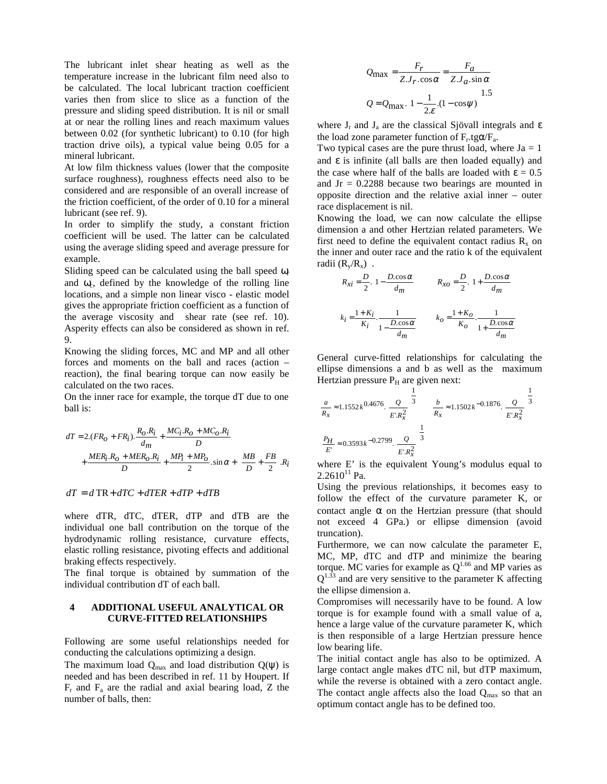The lubricant inlet shear heating as well as the temperature increase in the lubricant film need also to be calculated. The local lubricant traction coefficient varies then from slice to slice as a function of the pressure and sliding speed distribution. It is nil or small at or near the rolling lines and reach maximum values between 0.02 (for synthetic lubricant) to 0.10 (for high traction drive oils), a typical value being 0.05 for a mineral lubricant.

At low film thickness values (lower that the composite surface roughness), roughness effects need also to be considered and are responsible of an overall increase of the friction coefficient, of the order of 0.10 for a mineral lubricant (see ref. 9).

In order to simplify the study, a constant friction coefficient will be used. The latter can be calculated using the average sliding speed and average pressure for example.

Sliding speed can be calculated using the ball speed  $\omega_r$ and  $\omega_c$ , defined by the knowledge of the rolling line locations, and a simple non linear visco - elastic model gives the appropriate friction coefficient as a function of the average viscosity and shear rate (see ref. 10). Asperity effects can also be considered as shown in ref. 9.

Knowing the sliding forces, MC and MP and all other forces and moments on the ball and races (action – reaction), the final bearing torque can now easily be calculated on the two races.

On the inner race for example, the torque dT due to one ball is:

$$
dT = 2.(FRO + FRi). \frac{RO.Ri}{dm} + \frac{MCi.RO + MCO.Ri}{D} + \frac{MERi.RO + MERO.Ri}{D} + \frac{MPi + MPO}{2} \cdot \sin \alpha + \left(\frac{MB}{D} + \frac{FB}{2}\right)Ri
$$

$$
dT = d\, \text{TR} + dTC + dTER + dTP + dTB
$$

where dTR, dTC, dTER, dTP and dTB are the individual one ball contribution on the torque of the hydrodynamic rolling resistance, curvature effects, elastic rolling resistance, pivoting effects and additional braking effects respectively.

The final torque is obtained by summation of the individual contribution dT of each ball.

## **4 ADDITIONAL USEFUL ANALYTICAL OR CURVE-FITTED RELATIONSHIPS**

Following are some useful relationships needed for conducting the calculations optimizing a design.

The maximum load  $Q_{\text{max}}$  and load distribution  $Q(\psi)$  is needed and has been described in ref. 11 by Houpert. If  $F_r$  and  $F_a$  are the radial and axial bearing load, Z the number of balls, then:

$$
Q_{\text{max}} = \frac{F_r}{Z J_r \cdot \cos \alpha} = \frac{F_a}{Z J_a \cdot \sin \alpha}
$$

$$
Q = Q_{\text{max}} \left( 1 - \frac{1}{2\varepsilon} \cdot (1 - \cos \psi) \right)^{1.5}
$$

where  $J_r$  and  $J_a$  are the classical Sjövall integrals and  $\varepsilon$ the load zone parameter function of  $F_r.tg\alpha/F_a$ .

Two typical cases are the pure thrust load, where  $Ja = 1$ and  $\epsilon$  is infinite (all balls are then loaded equally) and the case where half of the balls are loaded with  $\epsilon = 0.5$ and  $Jr = 0.2288$  because two bearings are mounted in opposite direction and the relative axial inner – outer race displacement is nil.

Knowing the load, we can now calculate the ellipse dimension a and other Hertzian related parameters. We first need to define the equivalent contact radius  $R_x$  on the inner and outer race and the ratio k of the equivalent radii  $(R_v/R_v)$ .

$$
R_{Xi} = \frac{D}{2} \left( 1 - \frac{D \cdot \cos \alpha}{d_m} \right) \qquad R_{XO} = \frac{D}{2} \left( 1 + \frac{D \cdot \cos \alpha}{d_m} \right)
$$

$$
k_i = \frac{1 + K_i}{K_i} \cdot \frac{1}{1 - \frac{D \cdot \cos \alpha}{d_m}} \qquad k_O = \frac{1 + K_O}{K_O} \cdot \frac{1}{1 + \frac{D \cdot \cos \alpha}{d_m}}
$$

General curve-fitted relationships for calculating the ellipse dimensions a and b as well as the maximum Hertzian pressure  $P_H$  are given next:

$$
\frac{a}{R_x} \approx 1.1552 k^{0.4676} \left( \frac{Q}{E.R_x^2} \right)^{\frac{1}{3}} \qquad \frac{b}{R_x} \approx 1.1502 k^{-0.1876} \left( \frac{Q}{E.R_x^2} \right)^{\frac{1}{3}}
$$

$$
\frac{P_H}{E'} \approx 0.3593 k^{-0.2799} \left( \frac{Q}{E.R_x^2} \right)^{\frac{1}{3}}
$$

where E' is the equivalent Young's modulus equal to  $2.2610^{11}$  Pa.

Using the previous relationships, it becomes easy to follow the effect of the curvature parameter K, or contact angle  $\alpha$  on the Hertzian pressure (that should not exceed 4 GPa.) or ellipse dimension (avoid truncation).

Furthermore, we can now calculate the parameter E, MC, MP, dTC and dTP and minimize the bearing torque. MC varies for example as  $Q^{1.66}$  and MP varies as  $Q^{1.33}$  and are very sensitive to the parameter K affecting the ellipse dimension a.

Compromises will necessarily have to be found. A low torque is for example found with a small value of a, hence a large value of the curvature parameter K, which is then responsible of a large Hertzian pressure hence low bearing life.

The initial contact angle has also to be optimized. A large contact angle makes dTC nil, but dTP maximum, while the reverse is obtained with a zero contact angle. The contact angle affects also the load  $Q<sub>max</sub>$  so that an optimum contact angle has to be defined too.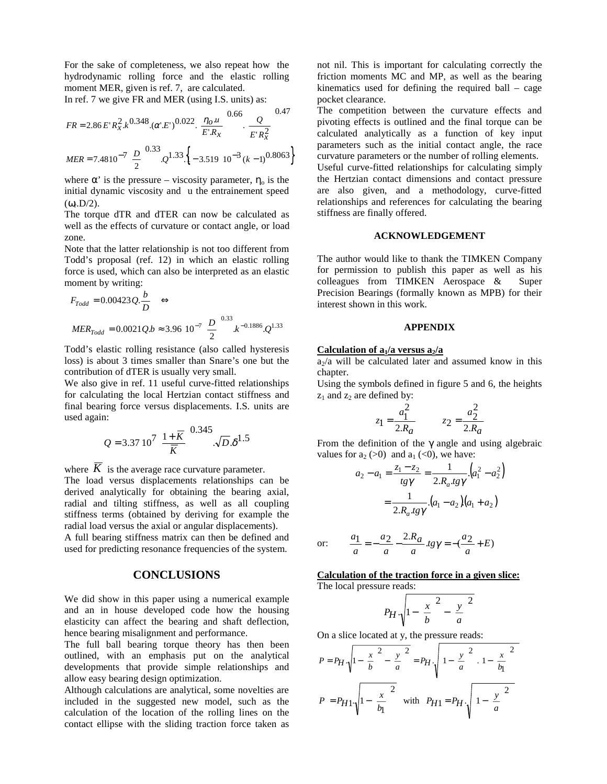For the sake of completeness, we also repeat how the hydrodynamic rolling force and the elastic rolling moment MER, given is ref. 7, are calculated.

 $0.47$ 

In ref. 7 we give FR and MER (using I.S. units) as:

$$
FR = 2.86 E'R_x^2 k^{0.348} \cdot (\alpha' E')^{0.022} \left(\frac{\eta_o u}{E'R_x}\right)^{0.66} \left(\frac{Q}{E'R_x^2}\right)^{0.47}
$$
  

$$
MER = 7.4810^{-7} \left(\frac{D}{2}\right)^{0.33} \cdot \left(1 - 3.519 \cdot 10^{-3} (k - 1)^{0.8063}\right)
$$

where  $\alpha'$  is the pressure – viscosity parameter,  $\eta_0$  is the initial dynamic viscosity and u the entrainement speed  $(\omega_{\rm r}D/2)$ .

The torque dTR and dTER can now be calculated as well as the effects of curvature or contact angle, or load zone.

Note that the latter relationship is not too different from Todd's proposal (ref. 12) in which an elastic rolling force is used, which can also be interpreted as an elastic moment by writing:

$$
F_{Todd} = 0.00423 Q. \frac{b}{D} \iff
$$
  
\n $MER_{Todd} = 0.0021 Q.b \approx 3.96 10^{-7} \left(\frac{D}{2}\right)^{0.33} . k^{-0.1886} . Q^{1.33}$ 

Todd's elastic rolling resistance (also called hysteresis loss) is about 3 times smaller than Snare's one but the contribution of dTER is usually very small.

We also give in ref. 11 useful curve-fitted relationships for calculating the local Hertzian contact stiffness and final bearing force versus displacements. I.S. units are used again:

$$
Q = 3.37 \, 10^7 \left( \frac{1 + \overline{K}}{\overline{K}} \right)^{0.345} \cdot \sqrt{D} \cdot \delta^{1.5}
$$

where  $\overline{K}$  is the average race curvature parameter. The load versus displacements relationships can be derived analytically for obtaining the bearing axial, radial and tilting stiffness, as well as all coupling stiffness terms (obtained by deriving for example the radial load versus the axial or angular displacements).

A full bearing stiffness matrix can then be defined and used for predicting resonance frequencies of the system.

#### **CONCLUSIONS**

We did show in this paper using a numerical example and an in house developed code how the housing elasticity can affect the bearing and shaft deflection, hence bearing misalignment and performance.

The full ball bearing torque theory has then been outlined, with an emphasis put on the analytical developments that provide simple relationships and allow easy bearing design optimization.

Although calculations are analytical, some novelties are included in the suggested new model, such as the calculation of the location of the rolling lines on the contact ellipse with the sliding traction force taken as

not nil. This is important for calculating correctly the friction moments MC and MP, as well as the bearing kinematics used for defining the required ball – cage pocket clearance.

The competition between the curvature effects and pivoting effects is outlined and the final torque can be calculated analytically as a function of key input parameters such as the initial contact angle, the race curvature parameters or the number of rolling elements.

Useful curve-fitted relationships for calculating simply the Hertzian contact dimensions and contact pressure are also given, and a methodology, curve-fitted relationships and references for calculating the bearing stiffness are finally offered.

### **ACKNOWLEDGEMENT**

The author would like to thank the TIMKEN Company for permission to publish this paper as well as his colleagues from TIMKEN Aerospace & Super Precision Bearings (formally known as MPB) for their interest shown in this work.

## **APPENDIX**

#### **Calculation of a<sub>1</sub>/a versus a<sub>2</sub>/a**

 $a<sub>2</sub>/a$  will be calculated later and assumed know in this chapter.

Using the symbols defined in figure 5 and 6, the heights  $z_1$  and  $z_2$  are defined by:

$$
z_1 = \frac{a_1^2}{2.R_a}
$$
  $z_2 = \frac{a_2^2}{2.R_a}$ 

From the definition of the  $\gamma$  angle and using algebraic values for  $a_2 (>0)$  and  $a_1 (< 0)$ , we have:

$$
a_2 - a_1 = \frac{z_1 - z_2}{tg\gamma} = \frac{1}{2.R_a.tg\gamma} \cdot (a_1^2 - a_2^2)
$$

$$
= \frac{1}{2.R_a.tg\gamma} \cdot (a_1 - a_2)(a_1 + a_2)
$$

or: 
$$
\frac{a_1}{a} = -\frac{a_2}{a} - \frac{2.R_a}{a} \cdot \frac{1}{2} = -\frac{a_2}{a} + E
$$

#### **Calculation of the traction force in a given slice:** The local pressure reads:

$$
P_H \cdot \sqrt{1 - \left(\frac{x}{b}\right)^2 - \left(\frac{y}{a}\right)^2}
$$

On a slice located at y, the pressure reads:

$$
P = P_H \cdot \sqrt{1 - \left(\frac{x}{b}\right)^2 - \left(\frac{y}{a}\right)^2} = P_H \cdot \sqrt{1 - \left(\frac{y}{a}\right)^2 \left(1 - \left(\frac{x}{b_1}\right)^2\right)}
$$

$$
P = P_{H1} \cdot \sqrt{1 - \left(\frac{x}{b_1}\right)^2} \quad \text{with} \quad P_{H1} = P_H \cdot \sqrt{1 - \left(\frac{y}{a}\right)^2}
$$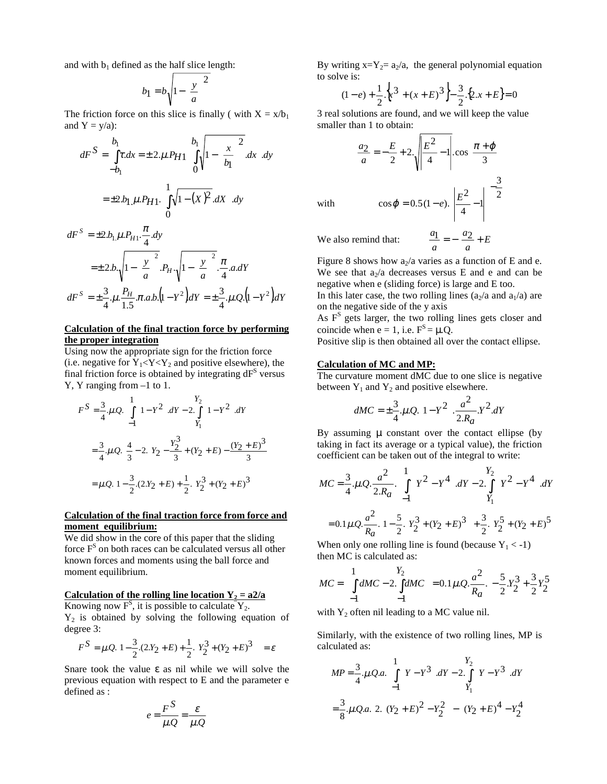and with  $b_1$  defined as the half slice length:

$$
b_1 = b \sqrt{1 - \left(\frac{y}{a}\right)^2}
$$

The friction force on this slice is finally (with  $X = x/b_1$ ) and  $Y = y/a$ ):

$$
dF^{S} = \int_{-b_{1}}^{b_{1}} \tau \, dx = \pm 2 \mu P_{H1} \left\{ \int_{0}^{b_{1}} \sqrt{1 - \left(\frac{x}{b_{1}}\right)^{2}} \, dx \right\} dy
$$

$$
= \pm 2 \mu P_{H1} \cdot \left\{ \int_{0}^{1} \sqrt{1 - (x)^{2}} \, dx \right\} dy
$$

$$
dF^{S} = \pm 2.b_{1} \mu.P_{H1} \cdot \frac{\pi}{4} dy
$$
  
=  $\pm 2.b_{1} \sqrt{1 - \left(\frac{y}{a}\right)^{2}}.P_{H1} \sqrt{1 - \left(\frac{y}{a}\right)^{2}}.\frac{\pi}{4} a dY$   

$$
dF^{S} = \pm \frac{3}{4}.\mu.\frac{P_{H}}{1.5} \pi.a.b.\left(1 - Y^{2}\right) dY = \pm \frac{3}{4}.\mu.Q.\left(1 - Y^{2}\right) dY
$$

### **Calculation of the final traction force by performing the proper integration**

Using now the appropriate sign for the friction force (i.e. negative for  $Y_1 < Y < Y_2$  and positive elsewhere), the final friction force is obtained by integrating  $dF<sup>S</sup>$  versus Y, Y ranging from –1 to 1.

$$
F^{S} = \frac{3}{4} \mu Q \left\{ \int_{-1}^{1} \left( 1 - Y^{2} \right) dY - 2 \int_{Y_{1}}^{Y_{2}} \left( 1 - Y^{2} \right) dY \right\}
$$
  

$$
= \frac{3}{4} \mu Q \left\{ \frac{4}{3} - 2 \left( Y_{2} - \frac{Y_{2}^{3}}{3} + (Y_{2} + E) - \frac{(Y_{2} + E)^{3}}{3} \right) \right\}
$$
  

$$
= \mu Q \left[ 1 - \frac{3}{2} \left( 2 \cdot Y_{2} + E \right) + \frac{1}{2} \left( Y_{2}^{3} + (Y_{2} + E)^{3} \right) \right]
$$

### **Calculation of the final traction force from force and moment equilibrium:**

We did show in the core of this paper that the sliding force F<sup>S</sup> on both races can be calculated versus all other known forces and moments using the ball force and moment equilibrium.

### Calculation of the rolling line location  $Y_2 = a^2/a$

Knowing now  $F^S$ , it is possible to calculate  $Y_2$ .  $Y_2$  is obtained by solving the following equation of degree 3:

$$
F^{S} = \mu Q \left[ 1 - \frac{3}{2} (2X_2 + E) + \frac{1}{2} \left( Y_2^3 + (Y_2 + E)^3 \right) \right] = \varepsilon
$$

Snare took the value  $\varepsilon$  as nil while we will solve the previous equation with respect to E and the parameter e defined as :

$$
e = \frac{F^S}{\mu.Q} = \frac{\varepsilon}{\mu.Q}
$$

By writing  $x=Y_2=a_2/a$ , the general polynomial equation to solve is:

$$
(1-e) + \frac{1}{2} \left\{ x^3 + (x+E)^3 \right\} - \frac{3}{2} \left\{ 2x + E \right\} = 0
$$

3 real solutions are found, and we will keep the value smaller than 1 to obtain:

$$
\frac{a_2}{a} = -\frac{E}{2} + 2 \sqrt{\frac{E^2}{4} - 1} \cdot \cos\left[\frac{\pi + \varphi}{3}\right]
$$

$$
\cos\varphi = 0.5(1 - e) \left(\frac{E^2}{4} - 1\right)^{-\frac{3}{2}}
$$

We also remind that:

with

 $\overline{1}$  $\left(\frac{a_2}{a_2+E}\right)$  $=\frac{a_2}{a}+E$ *a*  $a_1 = \pm a_2$ Figure 8 shows how  $a_2/a$  varies as a function of E and e.

We see that  $a_2/a$  decreases versus E and e and can be negative when e (sliding force) is large and E too.

In this later case, the two rolling lines ( $a_2/a$  and  $a_1/a$ ) are on the negative side of the y axis

As  $F<sup>S</sup>$  gets larger, the two rolling lines gets closer and coincide when  $e = 1$ , i.e.  $F<sup>S</sup> = \mu$ .Q.

Positive slip is then obtained all over the contact ellipse.

## **Calculation of MC and MP:**

The curvature moment dMC due to one slice is negative between  $Y_1$  and  $Y_2$  and positive elsewhere.

$$
dMC = \pm \frac{3}{4} \mu Q \left( 1 - Y^2 \right) \frac{a^2}{2.R_a} Y^2 \, dY
$$

By assuming  $\mu$  constant over the contact ellipse (by taking in fact its average or a typical value), the friction coefficient can be taken out of the integral to write:

$$
MC = \frac{3}{4} \cdot \mu \cdot Q \cdot \frac{a^2}{2 \cdot R_a} \cdot \left\{ \int_{-1}^{1} \left( Y^2 - Y^4 \right) dY - 2 \cdot \int_{Y_1}^{Y_2} \left( Y^2 - Y^4 \right) dY \right\}
$$

$$
= 0.1 \mu \cdot Q \cdot \frac{a^2}{R_a} \left[ 1 - \frac{5}{2} \left( Y_2^3 + (Y_2 + E)^3 \right) + \frac{3}{2} \left( Y_2^5 + (Y_2 + E)^5 \right) \right]
$$

When only one rolling line is found (because  $Y_1 < -1$ ) then MC is calculated as:

$$
MC = \left\{ \int_{-1}^{1} dMC - 2 \int_{-1}^{Y_2} dMC \right\} = 0.1 \mu Q \cdot \frac{a^2}{R_a} \left[ -\frac{5}{2} Y_2^3 + \frac{3}{2} Y_2^5 \right]
$$

with  $Y_2$  often nil leading to a MC value nil.

Similarly, with the existence of two rolling lines, MP is calculated as:

$$
MP = \frac{3}{4} \mu Q.a. \left\{ \int_{-1}^{1} \left( Y - Y^3 \right) dY - 2 \int_{Y_1}^{Y_2} \left( Y - Y^3 \right) dY \right\}
$$

$$
= \frac{3}{8} \mu Q.a \left[ 2 \left( (Y_2 + E)^2 - Y_2^2 \right) - \left( (Y_2 + E)^4 - Y_2^4 \right) \right]
$$